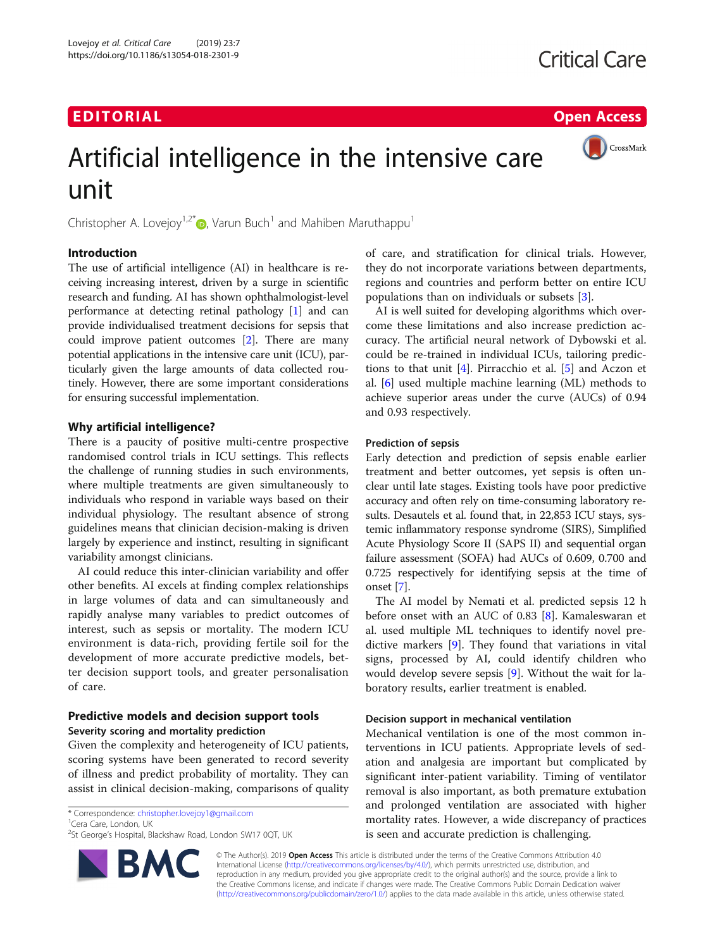# EDI TORIA L Open Access



# Artificial intelligence in the intensive care unit

Christopher A. Lovejoy<sup>1,2[\\*](http://orcid.org/0000-0003-0919-1264)</sup> $\bullet$ , Varun Buch<sup>1</sup> and Mahiben Maruthappu<sup>1</sup>

# Introduction

The use of artificial intelligence (AI) in healthcare is receiving increasing interest, driven by a surge in scientific research and funding. AI has shown ophthalmologist-level performance at detecting retinal pathology [\[1\]](#page-1-0) and can provide individualised treatment decisions for sepsis that could improve patient outcomes [[2\]](#page-1-0). There are many potential applications in the intensive care unit (ICU), particularly given the large amounts of data collected routinely. However, there are some important considerations for ensuring successful implementation.

## Why artificial intelligence?

There is a paucity of positive multi-centre prospective randomised control trials in ICU settings. This reflects the challenge of running studies in such environments, where multiple treatments are given simultaneously to individuals who respond in variable ways based on their individual physiology. The resultant absence of strong guidelines means that clinician decision-making is driven largely by experience and instinct, resulting in significant variability amongst clinicians.

AI could reduce this inter-clinician variability and offer other benefits. AI excels at finding complex relationships in large volumes of data and can simultaneously and rapidly analyse many variables to predict outcomes of interest, such as sepsis or mortality. The modern ICU environment is data-rich, providing fertile soil for the development of more accurate predictive models, better decision support tools, and greater personalisation of care.

# Predictive models and decision support tools Severity scoring and mortality prediction

Given the complexity and heterogeneity of ICU patients, scoring systems have been generated to record severity of illness and predict probability of mortality. They can assist in clinical decision-making, comparisons of quality

<sup>1</sup>Cera Care, London, UK

<sup>&</sup>lt;sup>2</sup>St George's Hospital, Blackshaw Road, London SW17 0QT, UK



of care, and stratification for clinical trials. However, they do not incorporate variations between departments, regions and countries and perform better on entire ICU populations than on individuals or subsets [[3](#page-1-0)].

AI is well suited for developing algorithms which overcome these limitations and also increase prediction accuracy. The artificial neural network of Dybowski et al. could be re-trained in individual ICUs, tailoring predictions to that unit  $[4]$  $[4]$ . Pirracchio et al.  $[5]$  $[5]$  $[5]$  and Aczon et al. [[6](#page-2-0)] used multiple machine learning (ML) methods to achieve superior areas under the curve (AUCs) of 0.94 and 0.93 respectively.

# Prediction of sepsis

Early detection and prediction of sepsis enable earlier treatment and better outcomes, yet sepsis is often unclear until late stages. Existing tools have poor predictive accuracy and often rely on time-consuming laboratory results. Desautels et al. found that, in 22,853 ICU stays, systemic inflammatory response syndrome (SIRS), Simplified Acute Physiology Score II (SAPS II) and sequential organ failure assessment (SOFA) had AUCs of 0.609, 0.700 and 0.725 respectively for identifying sepsis at the time of onset [[7\]](#page-2-0).

The AI model by Nemati et al. predicted sepsis 12 h before onset with an AUC of 0.83 [\[8](#page-2-0)]. Kamaleswaran et al. used multiple ML techniques to identify novel predictive markers [[9](#page-2-0)]. They found that variations in vital signs, processed by AI, could identify children who would develop severe sepsis [[9\]](#page-2-0). Without the wait for laboratory results, earlier treatment is enabled.

# Decision support in mechanical ventilation

Mechanical ventilation is one of the most common interventions in ICU patients. Appropriate levels of sedation and analgesia are important but complicated by significant inter-patient variability. Timing of ventilator removal is also important, as both premature extubation and prolonged ventilation are associated with higher mortality rates. However, a wide discrepancy of practices is seen and accurate prediction is challenging.

© The Author(s). 2019 Open Access This article is distributed under the terms of the Creative Commons Attribution 4.0 International License [\(http://creativecommons.org/licenses/by/4.0/](http://creativecommons.org/licenses/by/4.0/)), which permits unrestricted use, distribution, and reproduction in any medium, provided you give appropriate credit to the original author(s) and the source, provide a link to the Creative Commons license, and indicate if changes were made. The Creative Commons Public Domain Dedication waiver [\(http://creativecommons.org/publicdomain/zero/1.0/](http://creativecommons.org/publicdomain/zero/1.0/)) applies to the data made available in this article, unless otherwise stated.

<sup>\*</sup> Correspondence: [christopher.lovejoy1@gmail.com](mailto:christopher.lovejoy1@gmail.com) <sup>1</sup>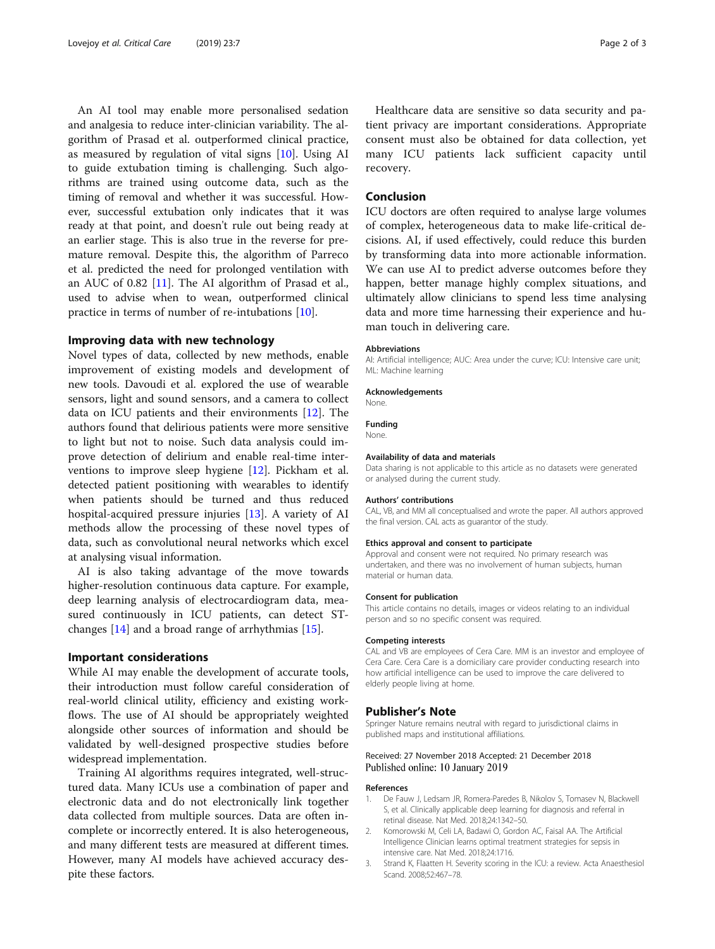<span id="page-1-0"></span>An AI tool may enable more personalised sedation and analgesia to reduce inter-clinician variability. The algorithm of Prasad et al. outperformed clinical practice, as measured by regulation of vital signs [\[10](#page-2-0)]. Using AI to guide extubation timing is challenging. Such algorithms are trained using outcome data, such as the timing of removal and whether it was successful. However, successful extubation only indicates that it was ready at that point, and doesn't rule out being ready at an earlier stage. This is also true in the reverse for premature removal. Despite this, the algorithm of Parreco et al. predicted the need for prolonged ventilation with an AUC of 0.82 [[11\]](#page-2-0). The AI algorithm of Prasad et al., used to advise when to wean, outperformed clinical practice in terms of number of re-intubations [[10](#page-2-0)].

#### Improving data with new technology

Novel types of data, collected by new methods, enable improvement of existing models and development of new tools. Davoudi et al. explored the use of wearable sensors, light and sound sensors, and a camera to collect data on ICU patients and their environments [\[12](#page-2-0)]. The authors found that delirious patients were more sensitive to light but not to noise. Such data analysis could improve detection of delirium and enable real-time interventions to improve sleep hygiene [\[12\]](#page-2-0). Pickham et al. detected patient positioning with wearables to identify when patients should be turned and thus reduced hospital-acquired pressure injuries [\[13](#page-2-0)]. A variety of AI methods allow the processing of these novel types of data, such as convolutional neural networks which excel at analysing visual information.

AI is also taking advantage of the move towards higher-resolution continuous data capture. For example, deep learning analysis of electrocardiogram data, measured continuously in ICU patients, can detect STchanges [\[14](#page-2-0)] and a broad range of arrhythmias [\[15](#page-2-0)].

#### Important considerations

While AI may enable the development of accurate tools, their introduction must follow careful consideration of real-world clinical utility, efficiency and existing workflows. The use of AI should be appropriately weighted alongside other sources of information and should be validated by well-designed prospective studies before widespread implementation.

Training AI algorithms requires integrated, well-structured data. Many ICUs use a combination of paper and electronic data and do not electronically link together data collected from multiple sources. Data are often incomplete or incorrectly entered. It is also heterogeneous, and many different tests are measured at different times. However, many AI models have achieved accuracy despite these factors.

Healthcare data are sensitive so data security and patient privacy are important considerations. Appropriate consent must also be obtained for data collection, yet many ICU patients lack sufficient capacity until recovery.

## Conclusion

ICU doctors are often required to analyse large volumes of complex, heterogeneous data to make life-critical decisions. AI, if used effectively, could reduce this burden by transforming data into more actionable information. We can use AI to predict adverse outcomes before they happen, better manage highly complex situations, and ultimately allow clinicians to spend less time analysing data and more time harnessing their experience and human touch in delivering care.

#### Abbreviations

AI: Artificial intelligence; AUC: Area under the curve; ICU: Intensive care unit; ML: Machine learning

#### Acknowledgements

None.

#### Funding

None.

# Availability of data and materials

Data sharing is not applicable to this article as no datasets were generated or analysed during the current study.

#### Authors' contributions

CAL, VB, and MM all conceptualised and wrote the paper. All authors approved the final version. CAL acts as guarantor of the study.

#### Ethics approval and consent to participate

Approval and consent were not required. No primary research was undertaken, and there was no involvement of human subjects, human material or human data.

#### Consent for publication

This article contains no details, images or videos relating to an individual person and so no specific consent was required.

#### Competing interests

CAL and VB are employees of Cera Care. MM is an investor and employee of Cera Care. Cera Care is a domiciliary care provider conducting research into how artificial intelligence can be used to improve the care delivered to elderly people living at home.

### Publisher's Note

Springer Nature remains neutral with regard to jurisdictional claims in published maps and institutional affiliations.

#### Received: 27 November 2018 Accepted: 21 December 2018 Published online: 10 January 2019

#### References

- 1. De Fauw J, Ledsam JR, Romera-Paredes B, Nikolov S, Tomasev N, Blackwell S, et al. Clinically applicable deep learning for diagnosis and referral in retinal disease. Nat Med. 2018;24:1342–50.
- 2. Komorowski M, Celi LA, Badawi O, Gordon AC, Faisal AA. The Artificial Intelligence Clinician learns optimal treatment strategies for sepsis in intensive care. Nat Med. 2018;24:1716.
- 3. Strand K, Flaatten H. Severity scoring in the ICU: a review. Acta Anaesthesio Scand. 2008;52:467–78.